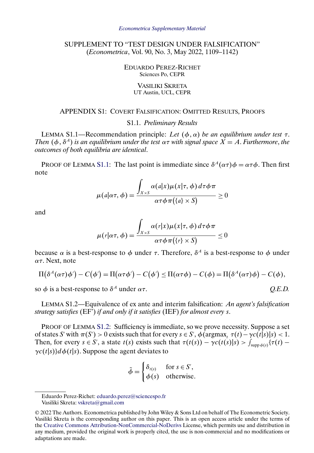# <span id="page-0-0"></span>SUPPLEMENT TO "TEST DESIGN UNDER FALSIFICATION" (*Econometrica*, Vol. 90, No. 3, May 2022, 1109–1142)

### EDUARDO PEREZ-RICHET Sciences Po, CEPR

#### VASILIKI SKRETA UT Austin, UCL, CEPR

## APPENDIX S1: COVERT FALSIFICATION: OMITTED RESULTS, PROOFS

## S1.1. *Preliminary Results*

LEMMA S1.1—Recommendation principle: *Let*  $(\phi, \alpha)$  *be an equilibrium under test*  $\tau$ . *Then*  $(\phi, \delta^A)$  *is an equilibrium under the test*  $\alpha \tau$  *with signal space*  $X = A$ . *Furthermore*, *the outcomes of both equilibria are identical*.

PROOF OF LEMMA S1.1: The last point is immediate since  $\delta^A(\alpha \tau) \phi = \alpha \tau \phi$ . Then first note

$$
\mu(a|\alpha \tau, \phi) = \frac{\int_{X \times S} \alpha(a|x) \mu(x|\tau, \phi) d\tau \phi \pi}{\alpha \tau \phi \pi(\lbrace a \rbrace \times S)} \ge 0
$$

and

$$
\mu(r|\alpha \tau, \phi) = \frac{\int_{X \times S} \alpha(r|x) \mu(x|\tau, \phi) d\tau \phi \pi}{\alpha \tau \phi \pi(\lbrace r \rbrace \times S)} \leq 0
$$

because  $\alpha$  is a best-response to  $\phi$  under  $\tau$ . Therefore,  $\delta^A$  is a best-response to  $\phi$  under ατ. Next, note

$$
\Pi(\delta^A(\alpha\tau)\phi') - C(\phi') = \Pi(\alpha\tau\phi') - C(\phi') \leq \Pi(\alpha\tau\phi) - C(\phi) = \Pi(\delta^A(\alpha\tau)\phi) - C(\phi),
$$

so  $\phi$  is a best-response to  $\delta^A$  under  $\alpha \tau$ . *Q.E.D. Q.E.D.* 

LEMMA S1.2—Equivalence of ex ante and interim falsification: *An agent's falsification strategy satisfies* (EF') *if and only if it satisfies* (IEF) *for almost every* s.

PROOF OF LEMMA S1.2: Sufficiency is immediate, so we prove necessity. Suppose a set of states S' with  $\pi(S') > 0$  exists such that for every  $s \in S'$ ,  $\phi(\argmax_t \tau(t) - \gamma c(t|s)|s) < 1$ . Then, for every  $s \in S'$ , a state  $t(s)$  exists such that  $\tau(t(s)) - \gamma c(t(s)|s) > \int_{\text{supp }\phi(s)} {\tau(t) - \tau(s)}$  $\gamma c(t|s)$ } $d\phi(t|s)$ . Suppose the agent deviates to

$$
\tilde{\phi} = \begin{cases} \delta_{t(s)} & \text{for } s \in S', \\ \phi(s) & \text{otherwise.} \end{cases}
$$

Eduardo Perez-Richet: [eduardo.perez@sciencespo.fr](mailto:eduardo.perez@sciencespo.fr) Vasiliki Skreta: [vskreta@gmail.com](mailto:vskreta@gmail.com)

<sup>© 2022</sup> The Authors. Econometrica published by John Wiley & Sons Ltd on behalf of The Econometric Society. Vasiliki Skreta is the corresponding author on this paper. This is an open access article under the terms of the [Creative Commons Attribution-NonCommercial-NoDerivs](https://creativecommons.org/licenses/by-nc-nd/4.0/) License, which permits use and distribution in any medium, provided the original work is properly cited, the use is non-commercial and no modifications or adaptations are made.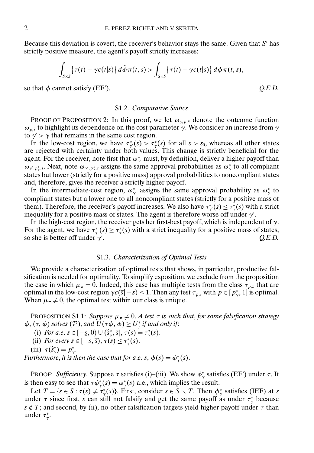Because this deviation is covert, the receiver's behavior stays the same. Given that  $S'$  has strictly positive measure, the agent's payoff strictly increases:

$$
\int_{S\times S}\left\{\tau(t)-\gamma c(t|s)\right\}d\tilde{\phi}\pi(t,s)>\int_{S\times S}\left\{\tau(t)-\gamma c(t|s)\right\}d\phi\pi(t,s),
$$

so that  $\phi$  cannot satisfy (EF').  $Q.E.D.$ 

#### S1.2. *Comparative Statics*

PROOF OF PROPOSITION 2: In this proof, we let  $\omega_{\gamma,p,\hat{s}}$  denote the outcome function  $\omega_{p,\hat{s}}$  to highlight its dependence on the cost parameter  $\gamma$ . We consider an increase from  $\gamma$ to  $\gamma$  >  $\gamma$  that remains in the same cost region.

In the low-cost region, we have  $\tau^*_{\gamma}(s) > \tau^*_{\gamma}(s)$  for all  $s > s_0$ , whereas all other states are rejected with certainty under both values. This change is strictly beneficial for the agent. For the receiver, note first that  $\omega_{\gamma}^{*}$  must, by definition, deliver a higher payoff than  $\omega_{\gamma',p_{\gamma}^*,\bar{s}}$ . Next, note  $\omega_{\gamma',p_{\gamma}^*,\bar{s}}$  assigns the same approval probabilities as  $\omega_{\gamma}^*$  to all compliant states but lower (strictly for a positive mass) approval probabilities to noncompliant states and, therefore, gives the receiver a strictly higher payoff.

In the intermediate-cost region,  $\omega^*_{\gamma}$  assigns the same approval probability as  $\omega^*_{\gamma}$  to compliant states but a lower one to all noncompliant states (strictly for a positive mass of them). Therefore, the receiver's payoff increases. We also have  $\tau^*_{\gamma}(s) \leq \tau^*_{\gamma}(s)$  with a strict inequality for a positive mass of states. The agent is therefore worse off under  $\gamma'$ .

In the high-cost region, the receiver gets her first-best payoff, which is independent of  $\gamma$ . For the agent, we have  $\tau^*_{\gamma}(s) \ge \tau^*_{\gamma}(s)$  with a strict inequality for a positive mass of states, so she is better off under  $\gamma'$ . . *Q.E.D.*

#### S1.3. *Characterization of Optimal Tests*

We provide a characterization of optimal tests that shows, in particular, productive falsification is needed for optimality. To simplify exposition, we exclude from the proposition the case in which  $\mu_{\pi} = 0$ . Indeed, this case has multiple tests from the class  $\tau_{p,\hat{s}}$  that are optimal in the low-cost region  $\gamma c(\bar{s}|-s) \leq 1$ . Then any test  $\tau_{p,\bar{s}}$  with  $p \in [p^*_{\gamma}, 1]$  is optimal. When  $\mu_{\pi} \neq 0$ , the optimal test within our class is unique.

PROPOSITION S1.1: *Suppose*  $\mu_{\pi} \neq 0$ . *A test*  $\tau$  *is such that, for some falsification strategy*  $\phi$ ,  $(\tau, \phi)$  *solves*  $(\mathcal{P})$ *, and*  $U(\tau\phi, \phi) \ge U^*_{\gamma}$  *if and only if:* 

(i) *For a.e.*  $s \in [-\underline{s}, 0) \cup (\hat{s}_\gamma^*, \overline{s}], \tau(s) = \tau_\gamma^*(s)$ .

(ii) *For every*  $s \in [-\underline{s}, \overline{s}), \tau(s) \leq \tau^*_{\gamma}(s)$ .

$$
(iii) \ \tau(\hat{s}^*_{\gamma}) = p^*_{\gamma}.
$$

*Furthermore, it is then the case that for a.e. s,*  $\phi(s) = \phi^*_{\gamma}(s)$ .

PROOF: *Sufficiency*. Suppose  $\tau$  satisfies (i)–(iii). We show  $\phi^*_{\gamma}$  satisfies (EF') under  $\tau$ . It is then easy to see that  $\tau \phi_{\gamma}^*(s) = \omega_{\gamma}^*(s)$  a.e., which implies the result.

Let  $T = \{s \in S : \tau(s) \neq \tau^*_{\gamma}(s)\}\)$ . First, consider  $s \in S \setminus T$ . Then  $\phi^*_{\gamma}$  satisfies (IEF) at s under  $\tau$  since first, s can still not falsify and get the same payoff as under  $\tau^*_{\gamma}$  because  $s \notin T$ ; and second, by (ii), no other falsification targets yield higher payoff under  $\tau$  than under  $\tau^*_{\gamma}$ .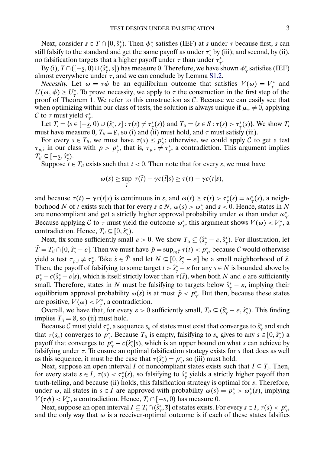Next, consider  $s \in T \cap [0, \hat{s}^*_{\gamma})$ . Then  $\phi^*_{\gamma}$  satisfies (IEF) at s under  $\tau$  because first, s can still falsify to the standard and get the same payoff as under  $\tau_\gamma^*$  by (iii); and second, by (ii), no falsification targets that a higher payoff under  $\tau$  than under  $\tau^*_{\gamma}$ .

By (i),  $T \cap ([-\underline{s}, 0) \cup (\hat{s}_\gamma^*, \overline{s}])$  has measure 0. Therefore, we have shown  $\phi_\gamma^*$  satisfies (IEF) almost everywhere under  $\tau$ , and we can conclude by Lemma [S1.2.](#page-0-0)

*Necessity.* Let  $\omega = \tau \phi$  be an equilibrium outcome that satisfies  $V(\omega) = V_{\gamma}^*$  and  $U(\omega, \phi) \geq U^*_{\gamma}$ . To prove necessity, we apply to  $\tau$  the construction in the first step of the proof of Theorem 1. We refer to this construction as  $C$ . Because we can easily see that when optimizing within our class of tests, the solution is always unique if  $\mu_{\pi} \neq 0$ , applying C to  $\tau$  must yield  $\tau^*_{\gamma}$ .

Let  $T_i = \{s \in [-\underline{s}, 0) \cup (\hat{s}_{\gamma}^*, \overline{s}] : \tau(s) \neq \tau_{\gamma}^*(s)\}\$  and  $T_{ii} = \{s \in S : \tau(s) > \tau_{\gamma}^*(s)\}\.$  We show  $T_i$ must have measure 0,  $T_{ii} = \emptyset$ , so (i) and (ii) must hold, and  $\tau$  must satisfy (iii).

For every  $s \in T_{ii}$ , we must have  $\tau(s) \leq p_{\gamma}^*$ ; otherwise, we could apply C to get a test  $\tau_{p,\hat{s}}$  in our class with  $p > p^*_{\gamma}$ , that is,  $\tau_{p,\hat{s}} \neq \tau^*_{\gamma}$ , a contradiction. This argument implies  $T_{ii} \subseteq [-\underline{s}, \hat{s}^*_{\gamma}).$ 

Suppose  $t \in T_{ii}$  exists such that  $t < 0$ . Then note that for every s, we must have

$$
\omega(s) \geq \sup_{\tilde{t}} \ \tau(\tilde{t}) - \gamma c(\tilde{t}|s) \geq \tau(t) - \gamma c(t|s),
$$

and because  $\tau(t) - \gamma c(t|s)$  is continuous in s, and  $\omega(t) \ge \tau(t) > \tau^*_{\gamma}(s) = \omega^*_{\gamma}(s)$ , a neighborhood N of t exists such that for every  $s \in N$ ,  $\omega(s) > \omega^*$  and  $s < 0$ . Hence, states in N are noncompliant and get a strictly higher approval probability under  $\omega$  than under  $\omega_{\gamma}^*$ . Because applying C to  $\tau$  must yield the outcome  $\omega_{\gamma}^*$ , this argument shows  $V(\omega) < V_{\gamma}^*$ , a contradiction. Hence,  $T_{ii} \subseteq [0, \hat{s}^*_{\gamma})$ .

Next, fix some sufficiently small  $\varepsilon > 0$ . We show  $T_{ii} \subseteq (\hat{s}_{\gamma}^* - \varepsilon, \hat{s}_{\gamma}^*)$ . For illustration, let  $T = T_{ii} \cap [0, \hat{s}^*_\gamma - \varepsilon]$ . Then we must have  $\tilde{p} = \sup_{t \in \tilde{T}} \tau(t) < p^*_\gamma$ , because  $C$  would otherwise yield a test  $\tau_{p,\hat{s}} \neq \tau_{\gamma}^*$ . Take  $\tilde{s} \in T$  and let  $N \subseteq [0, \hat{s}_{\gamma}^* - \varepsilon]$  be a small neighborhood of  $\tilde{s}$ . Then, the payoff of falsifying to some target  $t > \hat{s}^*_{\gamma} - \varepsilon$  for any  $s \in N$  is bounded above by  $p^*_\gamma - c(\hat{s}^*_\gamma - \varepsilon | s)$ , which is itself strictly lower than  $\tau(\tilde{s})$ , when both N and  $\varepsilon$  are sufficiently small. Therefore, states in N must be falsifying to targets below  $\hat{s}^*_{\gamma} - \varepsilon$ , implying their equilibrium approval probability  $\omega(s)$  is at most  $\tilde{p} < p_{\gamma}^*$ . But then, because these states are positive,  $V(\omega) < V_{\gamma}^*$ , a contradiction.

Overall, we have that, for every  $\varepsilon > 0$  sufficiently small,  $T_{ii} \subseteq (\hat{s}_{\gamma}^* - \varepsilon, \hat{s}_{\gamma}^*)$ . This finding implies  $T_{ii} = \emptyset$ , so (ii) must hold.

Because C must yield  $\tau^*_{\gamma}$ , a sequence  $s_n$  of states must exist that converges to  $\hat{s}^*_{\gamma}$  and such that  $\tau(s_n)$  converges to  $p_{\gamma}^*$ . Because  $T_{ii}$  is empty, falsifying to  $s_n$  gives to any  $s \in [0, \hat{s}_{\gamma}^*)$  a payoff that converges to  $p^*_{\gamma} - c(\hat{s}^*_{\gamma}|s)$ , which is an upper bound on what s can achieve by falsifying under  $\tau$ . To ensure an optimal falsification strategy exists for  $s$  that does as well as this sequence, it must be the case that  $\tau(\hat{s}^*_y) = p^*_y$ , so (iii) must hold.

Next, suppose an open interval I of noncompliant states exists such that  $I \subseteq T_i$ . Then, for every state  $s \in I$ ,  $\tau(s) < \tau^*_{\gamma}(s)$ , so falsifying to  $\hat{s}^*_{\gamma}$  yields a strictly higher payoff than truth-telling, and because (ii) holds, this falsification strategy is optimal for s. Therefore, under  $\omega$ , all states in  $s \in I$  are approved with probability  $\omega(s) = p^*_{\gamma} > \omega^*_{\gamma}(s)$ , implying  $V(\tau \phi) < V_{\gamma}^*$ , a contradiction. Hence,  $T_i \cap [-\underline{s}, 0)$  has measure 0.

Next, suppose an open interval  $I \subseteq T_i \cap (\hat{s}_\gamma^*, \overline{s}]$  of states exists. For every  $s \in I$ ,  $\tau(s) < p_\gamma^*$ , and the only way that  $\omega$  is a receiver-optimal outcome is if each of these states falsifies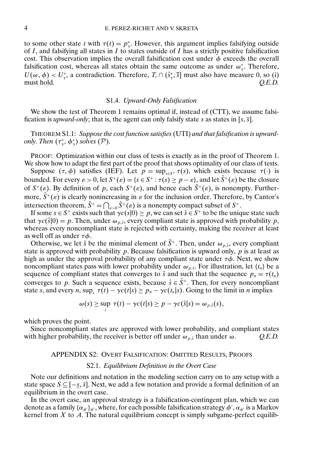to some other state t with  $\tau(t) = p_{\gamma}^*$ . However, this argument implies falsifying outside of I, and falsifying all states in I to states outside of I has a strictly positive falsification cost. This observation implies the overall falsification cost under  $\phi$  exceeds the overall falsification cost, whereas all states obtain the same outcome as under  $\omega^*_{\gamma}$ . Therefore,  $U(\omega, \phi) < U^*_\gamma$ , a contradiction. Therefore,  $T_i \cap (\hat{s}^*_\gamma, \overline{s}]$  must also have measure 0, so (i) must hold.  $Q.E.D.$ 

### S1.4. *Upward-Only Falsification*

We show the test of Theorem 1 remains optimal if, instead of (CTT), we assume falsification is *upward-only*; that is, the agent can only falsify state s as states in [s,  $\overline{s}$ ].

THEOREM S1.1: *Suppose the cost function satisfies* (UTI) *and that falsification is upwardonly. Then*  $(\tau^*_{\gamma}, \phi^*_{\gamma})$  *solves*  $(\mathcal{P})$ *.* 

PROOF: Optimization within our class of tests is exactly as in the proof of Theorem 1. We show how to adapt the first part of the proof that shows optimality of our class of tests.

Suppose  $(\tau, \phi)$  satisfies (IEF). Let  $p = \sup_{s \in S^+} \tau(s)$ , which exists because  $\tau(\cdot)$  is bounded. For every  $\varepsilon > 0$ , let  $S^+(\varepsilon) = \{s \in S^+ : \tau(s) \ge p - \varepsilon\}$  and let  $\bar{S}^+(\varepsilon)$  be the closure of  $S^+(\varepsilon)$ . By definition of p, each  $S^+(\varepsilon)$ , and hence each  $\overline{S}^+(\varepsilon)$ , is nonempty. Furthermore,  $\bar{S}^+(\varepsilon)$  is clearly nonincreasing in  $\varepsilon$  for the inclusion order. Therefore, by Cantor's intersection theorem,  $S^+ = \bigcap_{\varepsilon>0} S^+(\varepsilon)$  is a nonempty compact subset of  $S^+$ .

If some  $s \in S^+$  exists such that  $\gamma c(s|0) \geq p$ , we can set  $\hat{s} \in S^+$  to be the unique state such that  $\gamma c(\hat{s}|0) = p$ . Then, under  $\omega_{p,\hat{s}}$ , every compliant state is approved with probability p, whereas every noncompliant state is rejected with certainty, making the receiver at least as well off as under  $\tau \phi$ .

Otherwise, we let  $\hat{s}$  be the minimal element of  $\bar{S}^+$ . Then, under  $\omega_{p,\hat{s}}$ , every compliant state is approved with probability  $p$ . Because falsification is upward only,  $p$  is at least as high as under the approval probability of any compliant state under  $\tau\phi$ . Next, we show noncompliant states pass with lower probability under  $\omega_{p,\hat{s}}$ . For illustration, let  $\{t_n\}$  be a sequence of compliant states that converges to  $\hat{s}$  and such that the sequence  $p_n = \tau(t_n)$ converges to p. Such a sequence exists, because  $\hat{s} \in \bar{S}^+$ . Then, for every noncompliant state s, and every n, sup,  $\tau(t) - \gamma c(t|s) \ge p_n - \gamma c(t_n|s)$ . Going to the limit in n implies

$$
\omega(s) \geq \sup_t \tau(t) - \gamma c(t|s) \geq p - \gamma c(\hat{s}|s) = \omega_{p,\hat{s}}(s),
$$

which proves the point.

Since noncompliant states are approved with lower probability, and compliant states with higher probability, the receiver is better off under  $\omega_{p,\hat{s}}$  than under  $\omega$ .  $Q.E.D.$ 

### APPENDIX S2: OVERT FALSIFICATION: OMITTED RESULTS, PROOFS

### S2.1. *Equilibrium Definition in the Overt Case*

Note our definitions and notation in the modeling section carry on to any setup with a state space  $S \subseteq [-s, \overline{s}]$ . Next, we add a few notation and provide a formal definition of an equilibrium in the overt case.

In the overt case, an approval strategy is a falsification-contingent plan, which we can denote as a family  $\{\alpha_{\phi'}\}_{\phi'}$ , where, for each possible falsification strategy  $\phi', \alpha_{\phi'}$  is a Markov kernel from  $X$  to  $A$ . The natural equilibrium concept is simply subgame-perfect equilib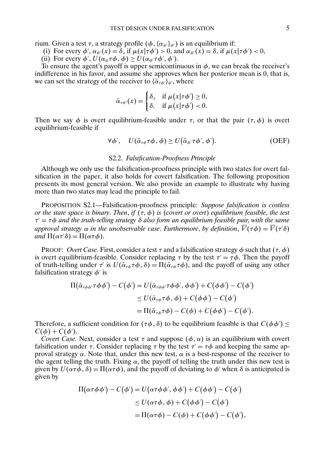<span id="page-4-0"></span>rium. Given a test  $\tau$ , a strategy profile  $(\phi, {\{\alpha_{\phi'}\}_{\phi'}})$  is an equilibrium if:

- (i) For every  $\phi'$ ,  $\alpha_{\phi'}(x) = \delta_a$  if  $\mu(x|\tau\phi') > 0$ , and  $\alpha_{\phi'}(x) = \delta_r$  if  $\mu(x|\tau\phi') < 0$ ,
- (ii) For every  $\phi'$ ,  $U(\alpha_{\phi}\tau\phi, \phi) \ge U(\alpha_{\phi'}\tau\phi', \phi').$

To ensure the agent's payoff is upper semicontinuous in  $\phi$ , we can break the receiver's indifference in his favor, and assume she approves when her posterior mean is 0, that is, we can set the strategy of the receiver to  $\{\bar{\alpha}_{\tau\phi'}\}_{{\phi'}},$  where

$$
\bar{\alpha}_{\tau\phi'}(x) = \begin{cases} \delta_a & \text{if } \mu(x|\tau\phi') \ge 0, \\ \delta_r & \text{if } \mu(x|\tau\phi') < 0. \end{cases}
$$

Then we say  $\phi$  is overt equilibrium-feasible under  $\tau$ , or that the pair  $(\tau, \phi)$  is overt equilibrium-feasible if

$$
\forall \phi', \quad U(\bar{\alpha}_{\tau\phi}\tau\phi, \phi) \ge U(\bar{\alpha}_{\phi'}\tau\phi', \phi'). \tag{OEF}
$$

## S2.2. *Falsification-Proofness Principle*

Although we only use the falsification-proofness principle with two states for overt falsification in the paper, it also holds for covert falsification. The following proposition presents its most general version. We also provide an example to illustrate why having more than two states may lead the principle to fail.

PROPOSITION S2.1—Falsification-proofness principle: *Suppose falsification is costless or the state space is binary. Then, if*  $(\tau, \phi)$  *is (covert or overt) equilibrium feasible, the test*  $\tau' = \tau \phi$  *and the truth-telling strategy*  $\delta$  *also form an equilibrium feasible pair, with the same approval strategy*  $\alpha$  *in the unobservable case. Furthermore, by definition,*  $V(\tau\phi) = V(\tau'\delta)$  $and \Pi(\alpha \tau' \delta) = \Pi(\alpha \tau \phi).$ 

**PROOF:** Overt Case. First, consider a test  $\tau$  and a falsification strategy  $\phi$  such that  $(\tau, \phi)$ is overt equilibrium-feasible. Consider replacing  $\tau$  by the test  $\tau' = \tau \phi$ . Then the payoff of truth-telling under  $\tau'$  is  $U(\bar{\alpha}_{\tau\phi}\tau\phi, \delta) = \Pi(\bar{\alpha}_{\tau\phi}\tau\phi)$ , and the payoff of using any other falsification strategy  $\phi'$  is

$$
\Pi(\bar{\alpha}_{\tau\phi\phi'}\tau\phi\phi') - C(\phi') = U(\bar{\alpha}_{\tau\phi\phi'}\tau\phi\phi', \phi\phi') + C(\phi\phi') - C(\phi')
$$
  
\n
$$
\leq U(\bar{\alpha}_{\tau\phi}\tau\phi, \phi) + C(\phi\phi') - C(\phi')
$$
  
\n
$$
= \Pi(\bar{\alpha}_{\tau\phi}\tau\phi) - C(\phi) + C(\phi\phi') - C(\phi').
$$

Therefore, a sufficient condition for  $(\tau \phi, \delta)$  to be equilibrium feasible is that  $C(\phi \phi') \leq C(1)$  $C(\phi) + C(\phi').$ 

*Covert Case.* Next, consider a test  $\tau$  and suppose  $(\phi, \alpha)$  is an equilibrium with covert falsification under  $\tau$ . Consider replacing  $\tau$  by the test  $\tau' = \tau \phi$  and keeping the same approval strategy  $\alpha$ . Note that, under this new test,  $\alpha$  is a best-response of the receiver to the agent telling the truth. Fixing  $\alpha$ , the payoff of telling the truth under this new test is given by  $U(\alpha \tau \phi, \delta) = \Pi(\alpha \tau \phi)$ , and the payoff of deviating to  $\phi'$  when  $\delta$  is anticipated is given by

$$
\Pi(\alpha \tau \phi \phi') - C(\phi') = U(\alpha \tau \phi \phi', \phi \phi') + C(\phi \phi') - C(\phi')
$$
  
\n
$$
\leq U(\alpha \tau \phi, \phi) + C(\phi \phi') - C(\phi')
$$
  
\n
$$
= \Pi(\alpha \tau \phi) - C(\phi) + C(\phi \phi') - C(\phi'),
$$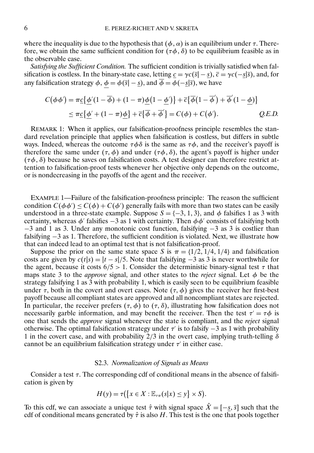where the inequality is due to the hypothesis that  $(\phi, \alpha)$  is an equilibrium under  $\tau$ . Therefore, we obtain the same sufficient condition for  $(\tau \phi, \delta)$  to be equilibrium feasible as in the observable case.

*Satisfying the Sufficient Condition.* The sufficient condition is trivially satisfied when falsification is costless. In the binary-state case, letting  $c = \gamma c(\bar{s}|-s)$ ,  $\bar{c} = \gamma c(-s|\bar{s})$ , and, for any falsification strategy  $\phi$ ,  $\phi = \phi(\bar{s} - s)$ , and  $\overline{\phi} = \phi(-s|\overline{s})$ , we have

$$
C(\phi\phi') = \pi \underline{c}\{\underline{\phi'}(1-\overline{\phi}) + (1-\pi)\underline{\phi}(1-\underline{\phi'})\} + \overline{c}\{\overline{\phi}(1-\overline{\phi'}) + \overline{\phi'}(1-\underline{\phi})\}
$$
  
 
$$
\leq \pi \underline{c}\{\underline{\phi'} + (1-\pi)\underline{\phi}\} + \overline{c}\{\overline{\phi} + \overline{\phi'}\} = C(\phi) + C(\phi').
$$
 Q.E.D.

REMARK 1: When it applies, our falsification-proofness principle resembles the standard revelation principle that applies when falsification is costless, but differs in subtle ways. Indeed, whereas the outcome  $\tau \phi \delta$  is the same as  $\tau \phi$ , and the receiver's payoff is therefore the same under  $(\tau, \phi)$  and under  $(\tau \phi, \delta)$ , the agent's payoff is higher under  $(\tau\phi, \delta)$  because he saves on falsification costs. A test designer can therefore restrict attention to falsification-proof tests whenever her objective only depends on the outcome, or is nondecreasing in the payoffs of the agent and the receiver.

EXAMPLE 1—Failure of the falsification-proofness principle: The reason the sufficient condition  $C(\phi\phi') \leq C(\phi) + C(\phi')$  generally fails with more than two states can be easily understood in a three-state example. Suppose  $S = \{-3, 1, 3\}$ , and  $\phi$  falsifies 1 as 3 with certainty, whereas  $\phi'$  falsifies  $-3$  as 1 with certainty. Then  $\phi\phi'$  consists of falsifying both −3 and 1 as 3. Under any monotonic cost function, falsifying −3 as 3 is costlier than falsifying −3 as 1. Therefore, the sufficient condition is violated. Next, we illustrate how that can indeed lead to an optimal test that is not falsification-proof.

Suppose the prior on the same state space S is  $\pi = \{1/2, 1/4, 1/4\}$  and falsification costs are given by  $c(t|s) = |t - s|/5$ . Note that falsifying  $-3$  as 3 is never worthwhile for the agent, because it costs  $6/5 > 1$ . Consider the deterministic binary-signal test  $\tau$  that maps state 3 to the *approve* signal, and other states to the *reject* signal. Let φ be the strategy falsifying 1 as 3 with probability 1, which is easily seen to be equilibrium feasible under  $\tau$ , both in the covert and overt cases. Note  $(\tau, \phi)$  gives the receiver her first-best payoff because all compliant states are approved and all noncompliant states are rejected. In particular, the receiver prefers  $(\tau, \phi)$  to  $(\tau, \delta)$ , illustrating how falsification does not necessarily garble information, and may benefit the receiver. Then the test  $\tau' = \tau \phi$  is one that sends the *approve* signal whenever the state is compliant, and the *reject* signal otherwise. The optimal falsification strategy under  $\tau'$  is to falsify  $-3$  as 1 with probability 1 in the covert case, and with probability  $2/3$  in the overt case, implying truth-telling  $\delta$ cannot be an equilibrium falsification strategy under  $\tau'$  in either case.

# S2.3. *Normalization of Signals as Means*

Consider a test  $\tau$ . The corresponding cdf of conditional means in the absence of falsification is given by

$$
H(y) = \tau(\big\{x \in X : \mathbb{E}_{\tau\pi}(s|x) \leq y\big\} \times S).
$$

To this cdf, we can associate a unique test  $\hat{\tau}$  with signal space  $\hat{X} = [-\underline{s}, \overline{s}]$  such that the cdf of conditional means generated by  $\hat{\tau}$  is also H. This test is the one that pools together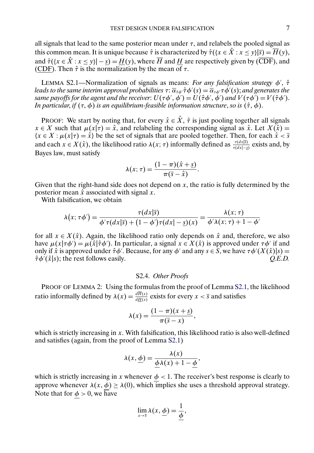all signals that lead to the same posterior mean under  $\tau$ , and relabels the pooled signal as this common mean. It is unique because  $\hat{\tau}$  is characterized by  $\hat{\tau}(\{x \in \hat{X} : x \leq y\}|\overline{s}) = \overline{H}(y)$ , and  $\hat{\tau}({x \in X : x \le y}) - \underline{s}) = H(y)$ , where H and  $H$  are respectively given by (CDF), and (CDF). Then  $\hat{\tau}$  is the normalization by the mean of  $\tau$ .

LEMMA S2.1—Normalization of signals as means: *For any falsification strategy*  $\phi'$ ,  $\hat{\tau}$ leads to the same interim approval probabilities  $\tau$ :  $\overline{\alpha}_{\hat{\tau}\phi'}\hat{\tau}\phi'(s)=\overline{\alpha}_{\tau\phi'}\tau\phi'(s)$ ; and generates the *same payoffs for the agent and the receiver:*  $U(\tau \phi', \phi') = U(\hat{\tau} \phi', \phi')$  *and*  $V(\tau \phi') = V(\hat{\tau} \phi').$ *In particular, if*  $(\tau, \phi)$  *is an equilibrium-feasible information structure, so is*  $(\hat{\tau}, \phi)$ *.* 

PROOF: We start by noting that, for every  $\hat{x} \in \hat{X}$ ,  $\hat{\tau}$  is just pooling together all signals  $x \in X$  such that  $\mu(x|\tau) = \hat{x}$ , and relabeling the corresponding signal as  $\hat{x}$ . Let  $X(\hat{x}) =$  ${x \in X : \mu(x|\tau) = \hat{x}}$  be the set of signals that are pooled together. Then, for each  $\hat{x} < \bar{s}$ and each  $x \in X(\hat{x})$ , the likelihood ratio  $\lambda(x; \tau)$  informally defined as  $\frac{\tau(dx|\bar{s})}{\tau(dx|-\bar{s})}$  exists and, by Bayes law, must satisfy

$$
\lambda(x;\tau)=\frac{(1-\pi)(\hat{x}+\underline{s})}{\pi(\overline{s}-\hat{x})}.
$$

Given that the right-hand side does not depend on  $x$ , the ratio is fully determined by the posterior mean  $\hat{x}$  associated with signal x.

With falsification, we obtain

$$
\lambda(x;\tau\phi') = \frac{\tau(dx|\overline{s})}{\phi'\tau(dx|\overline{s}) + (1-\phi')\tau(dx|-\underline{s})(x)} = \frac{\lambda(x;\tau)}{\phi'\lambda(x;\tau) + 1 - \phi'}
$$

for all  $x \in X(\hat{x})$ . Again, the likelihood ratio only depends on  $\hat{x}$  and, therefore, we also have  $\mu(x|\tau\phi') = \mu(\hat{x}|\hat{\tau}\phi')$ . In particular, a signal  $x \in X(\hat{x})$  is approved under  $\tau\phi'$  if and only if  $\hat{x}$  is approved under  $\hat{\tau}\phi'$ . Because, for any  $\phi'$  and any  $s \in S$ , we have  $\tau\phi'(X(\hat{x})|s)$  $\hat{\tau}\phi'(\hat{x}|s)$ ; the rest follows easily.  $Q.E.D.$ 

### S2.4. *Other Proofs*

PROOF OF LEMMA 2: Using the formulas from the proof of Lemma S2.1, the likelihood ratio informally defined by  $\lambda(x) = \frac{dH(x)}{dH(x)}$  exists for every  $x < \overline{s}$  and satisfies

$$
\lambda(x) = \frac{(1-\pi)(x+\underline{s})}{\pi(\overline{s}-x)},
$$

which is strictly increasing in  $x$ . With falsification, this likelihood ratio is also well-defined and satisfies (again, from the proof of Lemma S2.1)

$$
\lambda(x, \underline{\phi}) = \frac{\lambda(x)}{\underline{\phi}\lambda(x) + 1 - \underline{\phi}},
$$

which is strictly increasing in x whenever  $\phi$  < 1. The receiver's best response is clearly to approve whenever  $\lambda(x, \phi) \geq \lambda(0)$ , which implies she uses a threshold approval strategy. Note that for  $\phi > 0$ , we have

$$
\lim_{x\to\overline{s}}\lambda(x,\underline{\phi})=\frac{1}{\underline{\phi}},
$$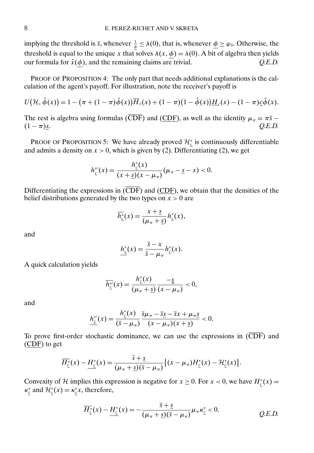implying the threshold is  $\bar{s}$ , whenever  $\frac{1}{\phi} \le \lambda(0)$ , that is, whenever  $\underline{\phi} \ge \varphi_0$ . Otherwise, the threshold is equal to the unique x that solves  $\lambda(x, \phi) = \lambda(0)$ . A bit of algebra then yields our formula for  $\hat{x}(\phi)$ , and the remaining claims are trivial. *O.E.D.* our formula for  $\hat{x}(\phi)$ , and the remaining claims are trivial.

PROOF OF PROPOSITION 4: The only part that needs additional explanations is the calculation of the agent's payoff. For illustration, note the receiver's payoff is

$$
U(\mathcal{H},\hat{\phi}(x))=1-(\pi+(1-\pi)\hat{\phi}(x))\overline{H}_{\ell}(x)+(1-\pi)(1-\hat{\phi}(x))\underline{H}_{\ell}(x)-(1-\pi)\underline{c}\hat{\phi}(x).
$$

The rest is algebra using formulas ( $\overline{CDF}$ ) and ( $\overline{CDF}$ ), as well as the identity  $\mu_{\pi} = \pi \overline{s} - (1 - \pi) \underline{s}$ .<br>*Q.E.D.*  $(1 - \pi) \underline{s}$ . *Q.E.D.* 

PROOF OF PROPOSITION 5: We have already proved  $\mathcal{H}_{\underline{c}}^*$  is continuously differentiable and admits a density on  $x > 0$ , which is given by (2). Differentiating (2), we get

$$
h_{\underline{c}}^{*'}(x) = \frac{h_{\underline{c}}^{*}(x)}{(x + \underline{s})(x - \mu_{\pi})}(\mu_{\pi} - \underline{s} - x) < 0.
$$

Differentiating the expressions in  $(\overline{\text{CDF}})$  and  $(\overline{\text{CDF}})$ , we obtain that the densities of the belief distributions generated by the two types on  $x > 0$  are

$$
\overline{h_{\underline{c}}^*}(x) = \frac{x + \underline{s}}{(\mu_{\pi} + \underline{s})} h_{\underline{c}}^*(x),
$$

and

$$
h_{\underline{c}}^*(x) = \frac{\overline{s} - x}{\overline{s} - \mu_{\pi}} h_{\underline{c}}^*(x).
$$

A quick calculation yields

$$
\overline{h_{\underline{c}}^*}(x) = \frac{h_{\underline{c}}^*(x)}{(\mu_{\pi} + \underline{s})} \frac{-\underline{s}}{(x - \mu_{\pi})} < 0,
$$

and

$$
\underline{h_{\underline{\epsilon}}^*(x)} = \frac{h_{\underline{\epsilon}}^*(x)}{(\overline{s} - \mu_{\pi})} \frac{\overline{s}\mu_{\pi} - \overline{s}\underline{s} - \overline{s}x + \mu_{\pi}\underline{s}}{(x - \mu_{\pi})(x + \underline{s})} < 0.
$$

To prove first-order stochastic dominance, we can use the expressions in  $(\overline{\text{CDF}})$  and  $(CDF)$  to get

$$
\overline{H_{\underline{c}}^*}(x) - \underline{H_{\underline{c}}^*}(x) = \frac{\overline{s} + \underline{s}}{(\mu_{\pi} + \underline{s})(\overline{s} - \mu_{\pi})} \{ (x - \mu_{\pi}) H_{\underline{c}}^*(x) - \mathcal{H}_{\underline{c}}^*(x) \}.
$$

Convexity of H implies this expression is negative for  $x \ge 0$ . For  $x < 0$ , we have  $H_{\frac{c}{c}}^*(x) =$  $\kappa_{\underline{c}}^*$  and  $\mathcal{H}_{\underline{c}}^*(x) = \kappa_{\underline{c}}^*x$ , therefore,

$$
\overline{H_{\underline{c}}^*}(x) - \underline{H_{\underline{c}}^*}(x) = -\frac{\overline{s} + \underline{s}}{(\mu_{\pi} + \underline{s})(\overline{s} - \mu_{\pi})} \mu_{\pi} \kappa_{\underline{c}}^* < 0.
$$
 Q.E.D.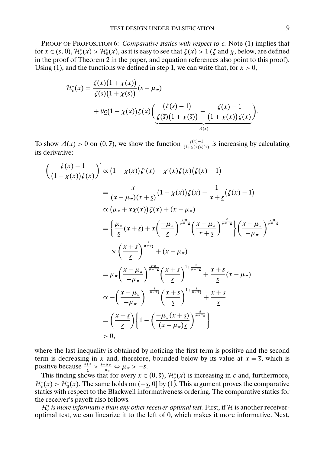PROOF OF PROPOSITION 6: *Comparative statics with respect to* c*.* Note (1) implies that for  $x \in (\underline{s},0)$ ,  $\mathcal{H}_{\underline{c}}^*(x) > \mathcal{H}_0^*(x)$ , as it is easy to see that  $\zeta(x) > 1$  ( $\zeta$  and  $\chi$ , below, are defined in the proof of Theorem 2 in the paper, and equation references also point to this proof). Using (1), and the functions we defined in step 1, we can write that, for  $x > 0$ ,

$$
\mathcal{H}_{\underline{\varepsilon}}^{*}(x) = \frac{\zeta(x)\big(1+\chi(x)\big)}{\zeta(\overline{s})\big(1+\chi(\overline{s})\big)}(\overline{s}-\mu_{\pi}) \n+ \theta \underline{c}\big(1+\chi(x)\big)\zeta(x)\bigg(\underbrace{\frac{\big(\zeta(\overline{s})-1\big)}{\zeta(\overline{s})\big(1+\chi(\overline{s})\big)} - \frac{\zeta(x)-1}{\big(1+\chi(x)\big)\zeta(x)}}_{A(x)}\bigg).
$$

To show  $A(x) > 0$  on  $(0, \overline{s})$ , we show the function  $\frac{\zeta(x)-1}{(1+\chi(x))\zeta(x)}$  is increasing by calculating its derivative:

$$
\left(\frac{\zeta(x)-1}{(1+\chi(x))\zeta(x)}\right)' \propto (1+\chi(x))\zeta'(x)-\chi'(x)\zeta(x)(\zeta(x)-1)
$$
\n
$$
=\frac{x}{(x-\mu_{\pi})(x+\underline{s})}(1+\chi(x))\zeta(x)-\frac{1}{x+\underline{s}}(\zeta(x)-1)
$$
\n
$$
\propto (\mu_{\pi}+x\chi(x))\zeta(x)+(x-\mu_{\pi})
$$
\n
$$
=\left\{\frac{\mu_{\pi}}{\underline{s}}(x+\underline{s})+x\left(\frac{-\mu_{\pi}}{\underline{s}}\right)^{\frac{\mu_{\pi}}{\mu_{\pi}+\underline{s}}}\left(\frac{x-\mu_{\pi}}{x+\underline{s}}\right)^{\frac{\chi}{\mu_{\pi}+\underline{s}}}\right\}\left(\frac{x-\mu_{\pi}}{-\mu_{\pi}}\right)^{\frac{\mu_{\pi}}{\mu_{\pi}+\underline{s}}}
$$
\n
$$
\times\left(\frac{x+\underline{s}}{\underline{s}}\right)^{\frac{\chi}{\mu_{\pi}+\underline{s}}}(x-\mu_{\pi})
$$
\n
$$
=\mu_{\pi}\left(\frac{x-\mu_{\pi}}{-\mu_{\pi}}\right)^{\frac{\mu_{\pi}}{\mu_{\pi}+\underline{s}}}\left(\frac{x+\underline{s}}{\underline{s}}\right)^{1+\frac{s}{\mu_{\pi}+\underline{s}}}+\frac{x+\underline{s}}{\underline{s}}(x-\mu_{\pi})
$$
\n
$$
\propto-\left(\frac{x-\mu_{\pi}}{-\mu_{\pi}}\right)^{-\frac{s}{\mu_{\pi}+\underline{s}}}\left(\frac{x+\underline{s}}{\underline{s}}\right)^{1+\frac{s}{\mu_{\pi}+\underline{s}}}+\frac{x+\underline{s}}{\underline{s}}
$$
\n
$$
=\left(\frac{x+\underline{s}}{\underline{s}}\right)\left\{1-\left(\frac{-\mu_{\pi}(x+\underline{s})}{(x-\mu_{\pi})\underline{s}}\right)^{\frac{s}{\mu_{\pi}+\underline{s}}}\right\}
$$
\n
$$
>0,
$$

where the last inequality is obtained by noticing the first term is positive and the second term is decreasing in x and, therefore, bounded below by its value at  $x = \overline{s}$ , which is positive because  $\frac{\frac{3}{5}+s}{s} > \frac{\frac{5}{5}-\mu_{\pi}}{-\mu_{\pi}} \Leftrightarrow \mu_{\pi} > -\underline{s}.$ 

This finding shows that for every  $x \in (0, \overline{s})$ ,  $\mathcal{H}_{\underline{c}}^*(x)$  is increasing in  $\underline{c}$  and, furthermore,  $\mathcal{H}_{\underline{c}}^{*}(x) > \mathcal{H}_{0}^{*}(x)$ . The same holds on (-s, 0] by (1). This argument proves the comparative statics with respect to the Blackwell informativeness ordering. The comparative statics for the receiver's payoff also follows.

 $\mathcal{H}_{\frac{c}{c}}^{*}$  *is more informative than any other receiver-optimal test.* First, if H is another receiveroptimal test, we can linearize it to the left of 0, which makes it more informative. Next,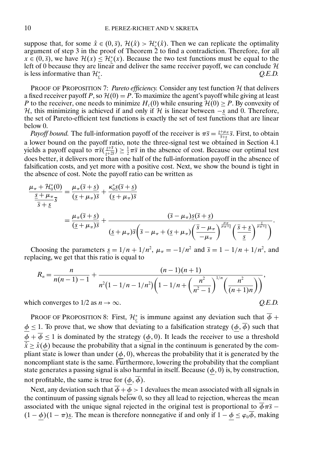suppose that, for some  $\hat{x} \in (0, \bar{s})$ ,  $\mathcal{H}(\hat{x}) > \mathcal{H}^*_{\hat{s}}(\hat{x})$ . Then we can replicate the optimality argument of step 3 in the proof of Theorem 2 to find a contradiction. Therefore, for all  $x \in (0, \overline{s})$ , we have  $\mathcal{H}(x) \leq \mathcal{H}_{\underline{c}}^*(x)$ . Because the two test functions must be equal to the left of 0 because they are linear and deliver the same receiver payoff, we can conclude  $H$  is less informative than  $H^*_{\sigma}$ . *O.E.D.* is less informative than  $\mathcal{H}_c^*$ .  $Q.E.D.$ 

PROOF OF PROPOSITION 7: *Pareto efficiency*. Consider any test function H that delivers a fixed receiver payoff P, so  $\mathcal{H}(0) = P$ . To maximize the agent's payoff while giving at least P to the receiver, one needs to minimize  $H_\ell(0)$  while ensuring  $\mathcal{H}(0) \geq P$ . By convexity of H, this minimizing is achieved if and only if H is linear between  $-s$  and 0. Therefore, the set of Pareto-efficient test functions is exactly the set of test functions that are linear below 0.

*Payoff bound.* The full-information payoff of the receiver is  $\pi \overline{s} = \frac{s+\mu}{\overline{s}+\underline{s}} \overline{s}$ . First, to obtain a lower bound on the payoff ratio, note the three-signal test we obtained in Section 4.1 yields a payoff equal to  $\pi\overline{s}(\frac{s+\overline{s}}{s+2\overline{s}}) \ge \frac{1}{2}\pi\overline{s}$  in the absence of cost. Because our optimal test does better, it delivers more than one half of the full-information payoff in the absence of falsification costs, and yet more with a positive cost. Next, we show the bound is tight in the absence of cost. Note the payoff ratio can be written as

$$
\frac{\mu_{\pi} + \mathcal{H}_0^*(0)}{\frac{\underline{s} + \mu_{\pi}}{\overline{s} + \underline{s}}} = \frac{\mu_{\pi}(\overline{s} + \underline{s})}{(\underline{s} + \mu_{\pi})\overline{s}} + \frac{\kappa_0^* \underline{s}(\overline{s} + \underline{s})}{(\underline{s} + \mu_{\pi})\overline{s}}
$$
\n
$$
= \frac{\mu_{\pi}(\overline{s} + \underline{s})}{(\underline{s} + \mu_{\pi})\overline{s}} + \frac{(\overline{s} - \mu_{\pi})\underline{s}(\overline{s} + \underline{s})}{(\underline{s} + \mu_{\pi})\overline{s}(\overline{s} - \mu_{\pi} + (\underline{s} + \mu_{\pi}))} \frac{\mu_{\pi}}{(\overline{s} - \mu_{\pi})} \frac{\frac{\mu_{\pi}}{\mu_{\pi} + \underline{s}}}{(\overline{s} + \underline{s})} \frac{\frac{\underline{s}}{\mu_{\pi} + \underline{s}}}{(\overline{s} + \mu_{\pi})}.
$$

Choosing the parameters  $\underline{s} = 1/n + 1/n^2$ ,  $\mu_{\pi} = -1/n^2$  and  $\overline{s} = 1 - 1/n + 1/n^2$ , and replacing, we get that this ratio is equal to

$$
R_n = \frac{n}{n(n-1)-1} + \frac{(n-1)(n+1)}{n^2(1-1/n-1/n^2)\left(1-1/n+\left(\frac{n^2}{n^2-1}\right)^{1/n}\left(\frac{n^2}{(n+1)n}\right)\right)},
$$
  
which converges to 1/2 as  $n \to \infty$ . Q.E.D.

PROOF OF PROPOSITION 8: First,  $\mathcal{H}_{\underline{c}}^*$  is immune against any deviation such that  $\phi$  +  $\phi \leq 1$ . To prove that, we show that deviating to a falsification strategy  $(\phi, \overline{\phi})$  such that  $\phi + \overline{\phi} \le 1$  is dominated by the strategy  $(\phi, 0)$ . It leads the receiver to use a threshold  $\frac{1}{x} \ge \hat{x}(\phi)$  because the probability that a signal in the continuum is generated by the compliant state is lower than under  $(\phi, 0)$ , whereas the probability that it is generated by the noncompliant state is the same. Furthermore, lowering the probability that the compliant state generates a passing signal is also harmful in itself. Because  $(\phi, 0)$  is, by construction, not profitable, the same is true for  $(\phi, \overline{\phi})$ .

Next, any deviation such that  $\phi + \phi > 1$  devalues the mean associated with all signals in the continuum of passing signals below  $0$ , so they all lead to rejection, whereas the mean associated with the unique signal rejected in the original test is proportional to  $\phi \pi \overline{s}$  −  $(1 - \phi)(1 - \pi)s$ . The mean is therefore nonnegative if and only if  $1 - \phi \leq \varphi_0 \overline{\phi}$ , making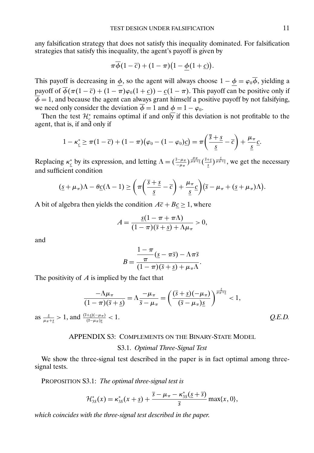any falsification strategy that does not satisfy this inequality dominated. For falsification strategies that satisfy this inequality, the agent's payoff is given by

$$
\pi \overline{\phi}(1-\overline{c}) + (1-\pi)(1-\underline{\phi}(1+\underline{c})).
$$

This payoff is decreasing in  $\phi$ , so the agent will always choose  $1 - \phi = \varphi_0 \overline{\phi}$ , yielding a payoff of  $\overline{\phi}(\pi(1-\overline{c}) + (1-\pi)\varphi_0(1+\underline{c})) - \underline{c}(1-\pi)$ . This payoff can be positive only if  $\overline{\phi} = 1$ , and because the agent can always grant himself a positive payoff by not falsifying, we need only consider the deviation  $\overline{\phi} = 1$  and  $\phi = 1 - \varphi_0$ .

Then the test  $\mathcal{H}_{\xi}^{*}$  remains optimal if and only if this deviation is not profitable to the agent, that is, if and only if

$$
1 - \kappa_{\underline{c}}^* \geq \pi (1 - \overline{c}) + (1 - \pi) (\varphi_0 - (1 - \varphi_0) \underline{c}) = \pi \left( \frac{\overline{s} + \underline{s}}{\underline{s}} - \overline{c} \right) + \frac{\mu_{\pi}}{\underline{s}} \underline{c}.
$$

Replacing  $\kappa_{\frac{c}{c}}^*$  by its expression, and letting  $\Lambda = (\frac{\overline{s}-\mu_{\pi}}{-\mu_{\pi}})^{\frac{\mu_{\pi}}{\mu_{\pi}+\bar{s}}}$ , we get the necessary and sufficient condition

$$
(\underline{s}+\mu_{\pi})\Lambda - \theta \underline{c}(\Lambda-1) \geq \left(\pi \left(\frac{\overline{s}+\underline{s}}{\underline{s}}-\overline{c}\right)+\frac{\mu_{\pi}}{\underline{s}}\underline{c}\right)(\overline{s}-\mu_{\pi}+(\underline{s}+\mu_{\pi})\Lambda).
$$

A bit of algebra then yields the condition  $A\overline{c} + B\underline{c} \ge 1$ , where

$$
A = \frac{\underline{s}(1-\pi+\pi\Lambda)}{(1-\pi)(\overline{s}+\underline{s})+\Lambda\mu_{\pi}} > 0,
$$

and

as

$$
B = \frac{\frac{1-\pi}{\pi}(\underline{s}-\pi \overline{s}) - \Lambda \pi \overline{s}}{(1-\pi)(\overline{s}+\underline{s}) + \mu_{\pi} \Lambda}.
$$

The positivity of  $A$  is implied by the fact that

$$
\frac{-\Lambda\mu_{\pi}}{(1-\pi)(\overline{s}+\underline{s})} = \Lambda\frac{-\mu_{\pi}}{\overline{s}-\mu_{\pi}} = \left(\frac{(\overline{s}+\underline{s})(-\mu_{\pi})}{(\overline{s}-\mu_{\pi})\underline{s}}\right)^{\frac{s}{\mu_{\pi}+\underline{s}}} < 1,
$$
  

$$
\frac{s}{\mu_{\pi}+\underline{s}} > 1, \text{ and } \frac{(\overline{s}+\underline{s})(-\mu_{\pi})}{(\overline{s}-\mu_{\pi})\underline{s}} < 1.
$$
 Q.E.D.

#### APPENDIX S3: COMPLEMENTS ON THE BINARY-STATE MODEL

## S3.1. *Optimal Three-Signal Test*

We show the three-signal test described in the paper is in fact optimal among threesignal tests.

PROPOSITION S3.1: *The optimal three-signal test is*

$$
\mathcal{H}_{3S}^*(x) = \kappa_{3S}^*(x + \underline{s}) + \frac{\overline{s} - \mu_{\pi} - \kappa_{3S}^*(\underline{s} + \overline{s})}{\overline{s}} \max\{x, 0\},\
$$

*which coincides with the three-signal test described in the paper*.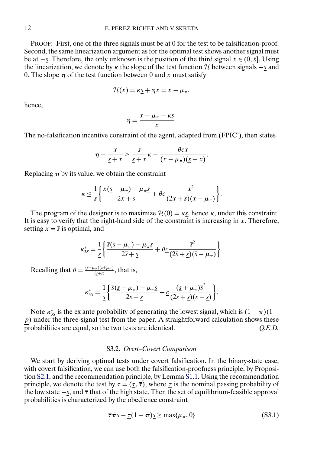<span id="page-11-0"></span>PROOF: First, one of the three signals must be at 0 for the test to be falsification-proof. Second, the same linearization argument as for the optimal test shows another signal must be at  $-s$ . Therefore, the only unknown is the position of the third signal  $x \in (0, \overline{s}]$ . Using the linearization, we denote by  $\kappa$  the slope of the test function H between signals –s and 0. The slope  $\eta$  of the test function between 0 and x must satisfy

$$
\mathcal{H}(x) = \kappa \underline{s} + \eta x = x - \mu_{\pi},
$$

hence,

$$
\eta = \frac{x - \mu_{\pi} - \kappa \underline{s}}{x}.
$$

The no-falsification incentive constraint of the agent, adapted from (FPIC'), then states

$$
\eta - \frac{x}{\underline{s}+x} \ge \frac{\underline{s}}{\underline{s}+x} \kappa - \frac{\theta \underline{c}x}{(x-\mu_{\pi})(\underline{s}+x)}.
$$

Replacing  $\eta$  by its value, we obtain the constraint

$$
\kappa \leq \frac{1}{\underline{s}}\bigg\{\frac{x(\underline{s}-\mu_{\pi})-\mu_{\pi}\underline{s}}{2x+\underline{s}}+\theta\underline{c}\frac{x^2}{(2x+\underline{s})(x-\mu_{\pi})}\bigg\}.
$$

The program of the designer is to maximize  $\mathcal{H}(0) = \kappa s$ , hence  $\kappa$ , under this constraint. It is easy to verify that the right-hand side of the constraint is increasing in  $x$ . Therefore, setting  $x = \overline{s}$  is optimal, and

$$
\kappa_{3S}^* = \frac{1}{\underline{s}} \left\{ \frac{\overline{s}(\underline{s} - \mu_\pi) - \mu_\pi \underline{s}}{2\overline{s} + \underline{s}} + \theta \underline{c} \frac{\overline{s}^2}{(2\overline{s} + \underline{s})(\overline{s} - \mu_\pi)} \right\}.
$$

Recalling that  $\theta = \frac{(\bar{s} - \mu_{\pi})(\bar{s} + \mu_{\pi})}{(\bar{s} + \bar{s})}$ , that is,

$$
\kappa_{3S}^* = \frac{1}{\underline{s}} \bigg\{ \frac{\overline{s}(\underline{s} - \mu_\pi) - \mu_\pi \underline{s}}{2\overline{s} + \underline{s}} + \underline{c} \frac{(\underline{s} + \mu_\pi)\overline{s}^2}{(2\overline{s} + \underline{s})(\overline{s} + \underline{s})} \bigg\}.
$$

Note  $\kappa_{3s}^*$  is the ex ante probability of generating the lowest signal, which is  $(1 - \pi)(1 - \pi)$  $p$ ) under the three-signal test from the paper. A straightforward calculation shows these probabilities are equal, so the two tests are identical. *Q.E.D.*

### S3.2. *Overt–Covert Comparison*

We start by deriving optimal tests under covert falsification. In the binary-state case, with covert falsification, we can use both the falsification-proofness principle, by Proposition [S2.1,](#page-4-0) and the recommendation principle, by Lemma [S1.1.](#page-0-0) Using the recommendation principle, we denote the test by  $\tau = (\tau, \overline{\tau})$ , where  $\tau$  is the nominal passing probability of the low state  $-s$ , and  $\overline{\tau}$  that of the high state. Then the set of equilibrium-feasible approval probabilities is characterized by the obedience constraint

$$
\overline{\tau}\pi\overline{s} - \underline{\tau}(1-\pi)\underline{s} \ge \max\{\mu_{\pi}, 0\} \tag{S3.1}
$$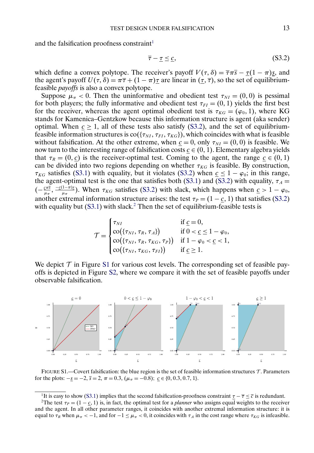and the falsification proofness constraint<sup>1</sup>

$$
\overline{\tau} - \underline{\tau} \le \underline{c},\tag{S3.2}
$$

which define a convex polytope. The receiver's payoff  $V(\tau, \delta) = \overline{\tau} \pi \overline{s} - \tau (1 - \pi) s$ , and the agent's payoff  $U(\tau, \delta) = \pi \overline{\tau} + (1 - \pi)\tau$  are linear in  $(\tau, \overline{\tau})$ , so the set of equilibriumfeasible *payoffs* is also a convex polytope.

Suppose  $\mu_{\pi}$  < 0. Then the uninformative and obedient test  $\tau_{NI} = (0,0)$  is pessimal for both players; the fully informative and obedient test  $\tau_{FI} = (0, 1)$  yields the first best for the receiver, whereas the agent optimal obedient test is  $\tau_{KG} = (\varphi_0, 1)$ , where KG stands for Kamenica–Gentzkow because this information structure is agent (aka sender) optimal. When  $c \ge 1$ , all of these tests also satisfy (S3.2), and the set of equilibriumfeasible information structures is  $\text{co}(\{\tau_{N1}, \tau_{FI}, \tau_{KG}\})$ , which coincides with what is feasible without falsification. At the other extreme, when  $c = 0$ , only  $\tau_{NI} = (0, 0)$  is feasible. We now turn to the interesting range of falsification costs  $c \in (0, 1)$ . Elementary algebra yields that  $\tau_R = (0, c)$  is the receiver-optimal test. Coming to the agent, the range  $c \in (0, 1)$ can be divided into two regions depending on whether  $\tau_{KG}$  is feasible. By construction,  $\tau_{KG}$  satisfies [\(S3.1\)](#page-11-0) with equality, but it violates (S3.2) when  $c \le 1 - \varphi_0$ ; in this range, the agent-optimal test is the one that satisfies both [\(S3.1\)](#page-11-0) and (S3.2) with equality,  $\tau_A$  =  $(-\frac{c\pi\bar{s}}{\mu\pi}, \frac{-c(1-\pi)s}{\mu\pi})$ . When  $\tau_{KG}$  satisfies (S3.2) with slack, which happens when  $c > 1 - \varphi_0$ , another extremal information structure arises: the test  $\tau_P = (1 - \underline{c}, 1)$  that satisfies (S3.2) with equality but  $(S3.1)$  with slack.<sup>2</sup> Then the set of equilibrium-feasible tests is

$$
\mathcal{T} = \begin{cases}\n\tau_{NI} & \text{if } \underline{c} = 0, \\
\text{co}(\{\tau_{NI}, \tau_R, \tau_A\}) & \text{if } 0 < \underline{c} \le 1 - \varphi_0, \\
\text{co}(\{\tau_{NI}, \tau_R, \tau_{KG}, \tau_P\}) & \text{if } 1 - \varphi_0 < \underline{c} < 1, \\
\text{co}(\{\tau_{NI}, \tau_{KG}, \tau_{FI}\}) & \text{if } \underline{c} \ge 1.\n\end{cases}
$$

We depict  $\mathcal T$  in Figure S1 for various cost levels. The corresponding set of feasible payoffs is depicted in Figure [S2,](#page-13-0) where we compare it with the set of feasible payoffs under observable falsification.



FIGURE S1.—Covert falsification: the blue region is the set of feasible information structures  $\mathcal{T}$ . Parameters for the plots:  $-\underline{s} = -2$ ,  $\overline{s} = 2$ ,  $\pi = 0.3$ ,  $(\mu_{\pi} = -0.8)$ ;  $\underline{c} \in \{0, 0.3, 0.7, 1\}$ .

<sup>&</sup>lt;sup>1</sup>It is easy to show [\(S3.1\)](#page-11-0) implies that the second falsification-proofness constraint  $\underline{\tau} - \overline{\tau} \le \overline{c}$  is redundant.<br><sup>2</sup>The test  $\tau_p = (1 - c, 1)$  is, in fact, the optimal test for a *planner* who assigns equal weig

and the agent. In all other parameter ranges, it coincides with another extremal information structure: it is equal to  $\tau_R$  when  $\mu_\pi < -1$ , and for  $-1 \leq \mu_\pi < 0$ , it coincides with  $\tau_A$  in the cost range where  $\tau_{KG}$  is infeasible.